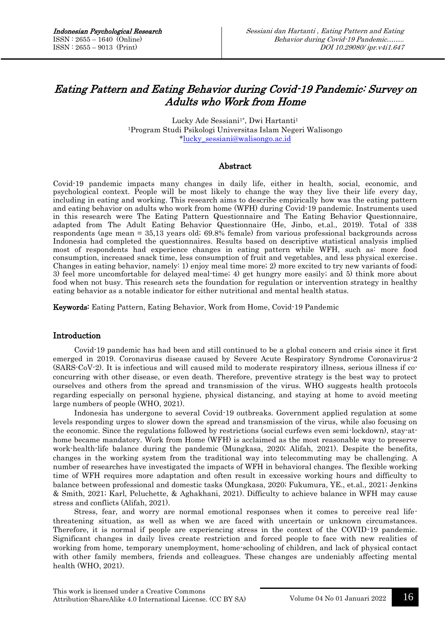# Eating Pattern and Eating Behavior during Covid-19 Pandemic: Survey on Adults who Work from Home

Lucky Ade Sessiani<sup>1\*</sup>, Dwi Hartanti<sup>1</sup> <sup>1</sup>Program Studi Psikologi Universitas Islam Negeri Walisongo [\\*lucky\\_sessiani@walisongo.ac.id](mailto:lucky_sessiani@walisongo.ac.id)

### Abstract

Covid-19 pandemic impacts many changes in daily life, either in health, social, economic, and psychological context. People will be most likely to change the way they live their life every day, including in eating and working. This research aims to describe empirically how was the eating pattern and eating behavior on adults who work from home (WFH) during Covid-19 pandemic. Instruments used in this research were The Eating Pattern Questionnaire and The Eating Behavior Questionnaire, adapted from The Adult Eating Behavior Questionnaire (He, Jinbo, et.al., 2019). Total of 338 respondents (age mean = 35,13 years old; 69.8% female) from various professional backgrounds across Indonesia had completed the questionnaires. Results based on descriptive statistical analysis implied most of respondents had experience changes in eating pattern while WFH, such as: more food consumption, increased snack time, less consumption of fruit and vegetables, and less physical exercise. Changes in eating behavior, namely: 1) enjoy meal time more; 2) more excited to try new variants of food; 3) feel more uncomfortable for delayed meal-time; 4) get hungry more easily; and 5) think more about food when not busy. This research sets the foundation for regulation or intervention strategy in healthy eating behavior as a notable indicator for either nutritional and mental health status.

Keywords: Eating Pattern, Eating Behavior, Work from Home, Covid-19 Pandemic

### Introduction

Covid-19 pandemic has had been and still continued to be a global concern and crisis since it first emerged in 2019. Coronavirus disease caused by Severe Acute Respiratory Syndrome Coronavirus-2 (SARS-CoV-2). It is infectious and will caused mild to moderate respiratory illness, serious illness if coconcurring with other disease, or even death. Therefore, preventive strategy is the best way to protect ourselves and others from the spread and transmission of the virus. WHO suggests health protocols regarding especially on personal hygiene, physical distancing, and staying at home to avoid meeting large numbers of people (WHO, 2021).

Indonesia has undergone to several Covid-19 outbreaks. Government applied regulation at some levels responding urges to slower down the spread and transmission of the virus, while also focusing on the economic. Since the regulations followed by restrictions (social curfews even semi-lockdown), stay-athome became mandatory. Work from Home (WFH) is acclaimed as the most reasonable way to preserve work-health-life balance during the pandemic (Mungkasa, 2020; Alifah, 2021). Despite the benefits, changes in the working system from the traditional way into telecommuting may be challenging. A number of researches have investigated the impacts of WFH in behavioral changes. The flexible working time of WFH requires more adaptation and often result in excessive working hours and difficulty to balance between professional and domestic tasks (Mungkasa, 2020; Fukumura, YE., et.al., 2021; Jenkins & Smith, 2021; Karl, Peluchette, & Aghakhani, 2021). Difficulty to achieve balance in WFH may cause stress and conflicts (Alifah, 2021).

Stress, fear, and worry are normal emotional responses when it comes to perceive real lifethreatening situation, as well as when we are faced with uncertain or unknown circumstances. Therefore, it is normal if people are experiencing stress in the context of the COVID-19 pandemic. Significant changes in daily lives create restriction and forced people to face with new realities of working from home, temporary unemployment, home-schooling of children, and lack of physical contact with other family members, friends and colleagues. These changes are undeniably affecting mental health (WHO, 2021).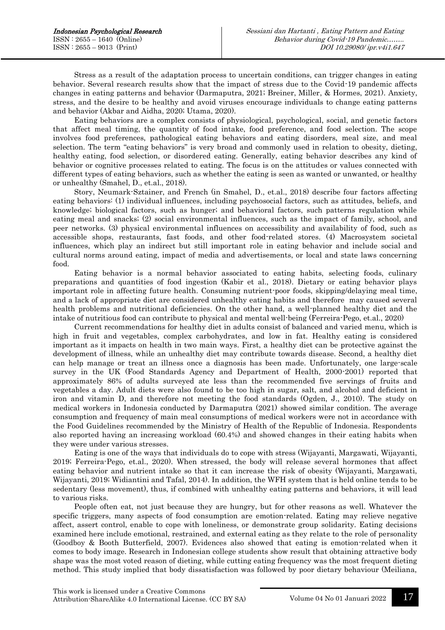Stress as a result of the adaptation process to uncertain conditions, can trigger changes in eating behavior. Several research results show that the impact of stress due to the Covid-19 pandemic affects changes in eating patterns and behavior (Darmaputra, 2021; Breiner, Miller, & Hormes, 2021). Anxiety, stress, and the desire to be healthy and avoid viruses encourage individuals to change eating patterns and behavior (Akbar and Aidha, 2020; Utama, 2020).

Eating behaviors are a complex consists of physiological, psychological, social, and genetic factors that affect meal timing, the quantity of food intake, food preference, and food selection. The scope involves food preferences, pathological eating behaviors and eating disorders, meal size, and meal selection. The term "eating behaviors" is very broad and commonly used in relation to obesity, dieting, healthy eating, food selection, or disordered eating. Generally, eating behavior describes any kind of behavior or cognitive processes related to eating. The focus is on the attitudes or values connected with different types of eating behaviors, such as whether the eating is seen as wanted or unwanted, or healthy or unhealthy (Smahel, D., et.al., 2018).

Story, Neumark-Sztainer, and French (in Smahel, D., et.al., 2018) describe four factors affecting eating behaviors: (1) individual influences, including psychosocial factors, such as attitudes, beliefs, and knowledge; biological factors, such as hunger; and behavioral factors, such patterns regulation while eating meal and snacks; (2) social environmental influences, such as the impact of family, school, and peer networks. (3) physical environmental influences on accessibility and availability of food, such as accessible shops, restaurants, fast foods, and other food-related stores. (4) Macrosystem societal influences, which play an indirect but still important role in eating behavior and include social and cultural norms around eating, impact of media and advertisements, or local and state laws concerning food.

Eating behavior is a normal behavior associated to eating habits, selecting foods, culinary preparations and quantities of food ingestion (Kabir et al., 2018). Dietary or eating behavior plays important role in affecting future health. Consuming nutrient-poor foods, skipping/delaying meal time, and a lack of appropriate diet are considered unhealthy eating habits and therefore may caused several health problems and nutritional deficiencies. On the other hand, a well-planned healthy diet and the intake of nutritious food can contribute to physical and mental well-being (Ferreira-Pego, et.al., 2020)

Current recommendations for healthy diet in adults consist of balanced and varied menu, which is high in fruit and vegetables, complex carbohydrates, and low in fat. Healthy eating is considered important as it impacts on health in two main ways. First, a healthy diet can be protective against the development of illness, while an unhealthy diet may contribute towards disease. Second, a healthy diet can help manage or treat an illness once a diagnosis has been made. Unfortunately, one large-scale survey in the UK (Food Standards Agency and Department of Health, 2000-2001) reported that approximately 86% of adults surveyed ate less than the recommended five servings of fruits and vegetables a day. Adult diets were also found to be too high in sugar, salt, and alcohol and deficient in iron and vitamin D, and therefore not meeting the food standards (Ogden, J., 2010). The study on medical workers in Indonesia conducted by Darmaputra (2021) showed similar condition. The average consumption and frequency of main meal consumptions of medical workers were not in accordance with the Food Guidelines recommended by the Ministry of Health of the Republic of Indonesia. Respondents also reported having an increasing workload (60.4%) and showed changes in their eating habits when they were under various stresses.

Eating is one of the ways that individuals do to cope with stress (Wijayanti, Margawati, Wijayanti, 2019; Ferreira-Pego, et.al., 2020). When stressed, the body will release several hormones that affect eating behavior and nutrient intake so that it can increase the risk of obesity (Wijayanti, Margawati, Wijayanti, 2019; Widiantini and Tafal, 2014). In addition, the WFH system that is held online tends to be sedentary (less movement), thus, if combined with unhealthy eating patterns and behaviors, it will lead to various risks.

People often eat, not just because they are hungry, but for other reasons as well. Whatever the specific triggers, many aspects of food consumption are emotion-related. Eating may relieve negative affect, assert control, enable to cope with loneliness, or demonstrate group solidarity. Eating decisions examined here include emotional, restrained, and external eating as they relate to the role of personality (Goodboy & Booth Butterfield, 2007). Evidences also showed that eating is emotion-related when it comes to body image. Research in Indonesian college students show result that obtaining attractive body shape was the most voted reason of dieting, while cutting eating frequency was the most frequent dieting method. This study implied that body dissatisfaction was followed by poor dietary behaviour (Meiliana,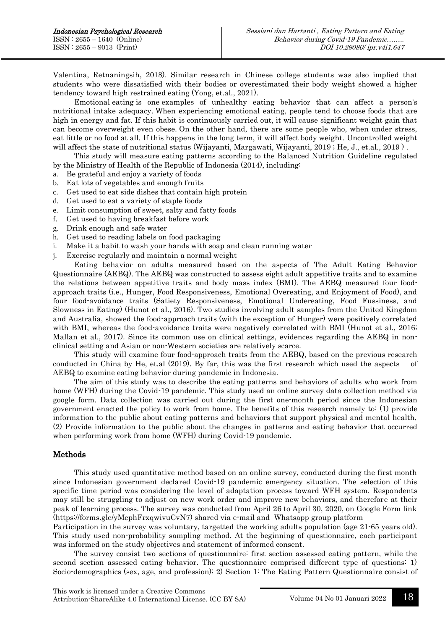Valentina, Retnaningsih, 2018). Similar research in Chinese college students was also implied that students who were dissatisfied with their bodies or overestimated their body weight showed a higher tendency toward high restrained eating (Yong, et.al., 2021).

Emotional eating is one examples of unhealthy eating behavior that can affect a person's nutritional intake adequacy. When experiencing emotional eating, people tend to choose foods that are high in energy and fat. If this habit is continuously carried out, it will cause significant weight gain that can become overweight even obese. On the other hand, there are some people who, when under stress, eat little or no food at all. If this happens in the long term, it will affect body weight. Uncontrolled weight will affect the state of nutritional status (Wijayanti, Margawati, Wijayanti, 2019 ; He, J., et.al., 2019).

This study will measure eating patterns according to the Balanced Nutrition Guideline regulated by the Ministry of Health of the Republic of Indonesia (2014), including:

- a. Be grateful and enjoy a variety of foods
- b. Eat lots of vegetables and enough fruits
- c. Get used to eat side dishes that contain high protein
- d. Get used to eat a variety of staple foods
- e. Limit consumption of sweet, salty and fatty foods
- f. Get used to having breakfast before work
- g. Drink enough and safe water
- h. Get used to reading labels on food packaging
- i. Make it a habit to wash your hands with soap and clean running water
- j. Exercise regularly and maintain a normal weight

Eating behavior on adults measured based on the aspects of The Adult Eating Behavior Questionnaire (AEBQ). The AEBQ was constructed to assess eight adult appetitive traits and to examine the relations between appetitive traits and body mass index (BMI). The AEBQ measured four foodapproach traits (i.e., Hunger, Food Responsiveness, Emotional Overeating, and Enjoyment of Food), and four food-avoidance traits (Satiety Responsiveness, Emotional Undereating, Food Fussiness, and Slowness in Eating) (Hunot et al., 2016). Two studies involving adult samples from the United Kingdom and Australia, showed the food-approach traits (with the exception of Hunger) were positively correlated with BMI, whereas the food-avoidance traits were negatively correlated with BMI (Hunot et al., 2016; Mallan et al., 2017). Since its common use on clinical settings, evidences regarding the AEBQ in nonclinical setting and Asian or non-Western societies are relatively scarce.

This study will examine four food-approach traits from the AEBQ, based on the previous research conducted in China by He, et.al (2019). By far, this was the first research which used the aspects of AEBQ to examine eating behavior during pandemic in Indonesia.

The aim of this study was to describe the eating patterns and behaviors of adults who work from home (WFH) during the Covid-19 pandemic. This study used an online survey data collection method via google form. Data collection was carried out during the first one-month period since the Indonesian government enacted the policy to work from home. The benefits of this research namely to: (1) provide information to the public about eating patterns and behaviors that support physical and mental health, (2) Provide information to the public about the changes in patterns and eating behavior that occurred when performing work from home (WFH) during Covid-19 pandemic.

### Methods

This study used quantitative method based on an online survey, conducted during the first month since Indonesian government declared Covid-19 pandemic emergency situation. The selection of this specific time period was considering the level of adaptation process toward WFH system. Respondents may still be struggling to adjust on new work order and improve new behaviors, and therefore at their peak of learning process. The survey was conducted from April 26 to April 30, 2020, on Google Form link (https://forms.gle/yMephFrxqwivuCvN7) shared via e-mail and Whatsapp group platform

Participation in the survey was voluntary, targetted the working adults population (age 21-65 years old). This study used non-probability sampling method. At the beginning of questionnaire, each participant was informed on the study objectives and statement of informed consent.

The survey consist two sections of questionnaire: first section assessed eating pattern, while the second section assessed eating behavior. The questionnaire comprised different type of questions: 1) Socio-demographics (sex, age, and profession); 2) Section 1: The Eating Pattern Questionnaire consist of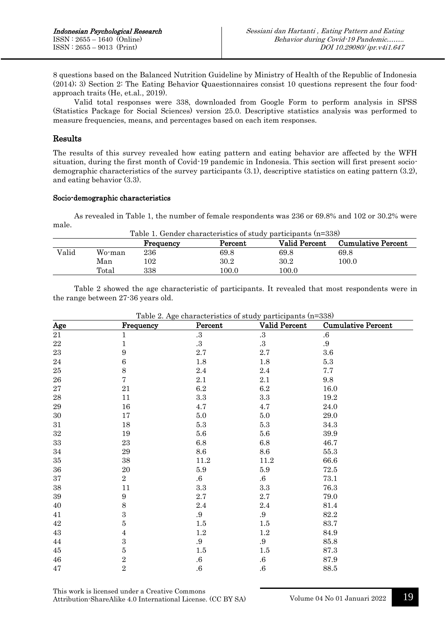8 questions based on the Balanced Nutrition Guideline by Ministry of Health of the Republic of Indonesia (2014); 3) Section 2: The Eating Behavior Quaestionnaires consist 10 questions represent the four foodapproach traits (He, et.al., 2019).

Valid total responses were 338, downloaded from Google Form to perform analysis in SPSS (Statistics Package for Social Sciences) version 25.0. Descriptive statistics analysis was performed to measure frequencies, means, and percentages based on each item responses.

# Results

The results of this survey revealed how eating pattern and eating behavior are affected by the WFH situation, during the first month of Covid-19 pandemic in Indonesia. This section will first present sociodemographic characteristics of the survey participants (3.1), descriptive statistics on eating pattern (3.2), and eating behavior (3.3).

### Socio-demographic characteristics

As revealed in Table 1, the number of female respondents was 236 or 69.8% and 102 or 30.2% were male.

| Table 1. Gender characteristics of study participants (n=338)             |        |     |       |          |           |  |  |
|---------------------------------------------------------------------------|--------|-----|-------|----------|-----------|--|--|
| <b>Valid Percent</b><br>Percent<br><b>Cumulative Percent</b><br>Frequency |        |     |       |          |           |  |  |
| Valid                                                                     | Wo-man | 236 | 69.8  | 69.8     | 69.8      |  |  |
|                                                                           | Man    | 102 | 30.2  | $30.2\,$ | $100.0\,$ |  |  |
|                                                                           | Total  | 338 | 100.0 | 100.0    |           |  |  |

Table 2 showed the age characteristic of participants. It revealed that most respondents were in the range between 27-36 years old.

| Table 2. Age characteristics of study participants (n=338) |                  |                   |                        |                           |  |  |
|------------------------------------------------------------|------------------|-------------------|------------------------|---------------------------|--|--|
| Age                                                        | Frequency        | Percent           | Valid Percent          | <b>Cumulative Percent</b> |  |  |
| $21\,$                                                     | $\mathbf 1$      | $.3\,$            | $.3\,$                 | $.6\,$                    |  |  |
| $\bf{22}$                                                  | $\mathbf 1$      | .3                | $\cdot$ <sup>3</sup> . | $.9\,$                    |  |  |
| $\bf 23$                                                   | 9                | 2.7               | $2.7\,$                | $3.6\,$                   |  |  |
| $\bf 24$                                                   | $\,6\,$          | $1.8\,$           | $1.8\,$                | $5.3\,$                   |  |  |
| $25\,$                                                     | $\,8\,$          | $2.4\,$           | $2.4\,$                | $7.7\,$                   |  |  |
| ${\bf 26}$                                                 | $\overline{7}$   | 2.1               | 2.1                    | 9.8                       |  |  |
| $\sqrt{27}$                                                | $21\,$           | $6.2\,$           | $6.2\,$                | 16.0                      |  |  |
| $\bf 28$                                                   | 11               | $\!3.3\!$         | $\!.3$                 | $19.2\,$                  |  |  |
| $\,29$                                                     | 16               | 4.7               | 4.7                    | 24.0                      |  |  |
| $30\,$                                                     | 17               | 5.0               | $5.0\,$                | 29.0                      |  |  |
| $31\,$                                                     | $18\,$           | $5.3\,$           | $5.3\,$                | $34.3\,$                  |  |  |
| $32\,$                                                     | 19               | $5.6\,$           | $5.6\,$                | $39.9\,$                  |  |  |
| $33\,$                                                     | 23               | 6.8               | $6.8\,$                | 46.7                      |  |  |
| $34\,$                                                     | $\bf 29$         | $\!\!\!\!\!8.6$   | 8.6                    | $55.3\,$                  |  |  |
| $35\,$                                                     | $38\,$           | $11.2\,$          | $11.2\,$               | 66.6                      |  |  |
| $36\,$                                                     | $20\,$           | 5.9               | $5.9\,$                | $72.5\,$                  |  |  |
| $37\,$                                                     | $\overline{2}$   | $.6\,$            | $.6\,$                 | 73.1                      |  |  |
| $38\,$                                                     | 11               | $\!.3$            | $\!.3$                 | 76.3                      |  |  |
| $39\,$                                                     | $\boldsymbol{9}$ | $2.7\,$           | $2.7\,$                | 79.0                      |  |  |
| 40                                                         | $8\,$            | $2.4\,$           | 2.4                    | 81.4                      |  |  |
| 41                                                         | $\boldsymbol{3}$ | .9                | $.9\,$                 | 82.2                      |  |  |
| $42\,$                                                     | 5                | 1.5               | 1.5                    | 83.7                      |  |  |
| $43\,$                                                     | 4                | $1.2\,$           | $1.2\,$                | 84.9                      |  |  |
| 44                                                         | 3                | .9                | .9                     | 85.8                      |  |  |
| $45\,$                                                     | 5                | $1.5\,$           | $1.5\,$                | $87.3\,$                  |  |  |
| $\bf 46$                                                   | $\overline{2}$   | $.6\,$            | $.6\,$                 | $87.9\,$                  |  |  |
| $47\,$                                                     | $\overline{2}$   | $\boldsymbol{.6}$ | $.6\,$                 | 88.5                      |  |  |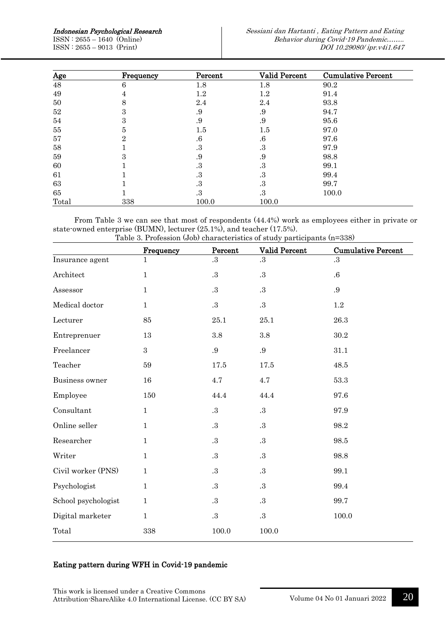ISSN : 2655 – 1640 (Online) ISSN : 2655 – 9013 (Print)

| <u>Age</u> | Frequency | Percent | <b>Valid Percent</b> | <b>Cumulative Percent</b> |
|------------|-----------|---------|----------------------|---------------------------|
| 48         | 6         | 1.8     | 1.8                  | 90.2                      |
| 49         | 4         | $1.2\,$ | $1.2\,$              | 91.4                      |
| 50         | 8         | 2.4     | 2.4                  | 93.8                      |
| 52         | 3         | .9      | .9                   | 94.7                      |
| 54         | 3         | .9      | .9                   | 95.6                      |
| 55         | 5         | $1.5\,$ | $1.5\,$              | 97.0                      |
| 57         | 2         | $.6\,$  | $.6\,$               | 97.6                      |
| 58         |           | .3      | .3                   | 97.9                      |
| 59         | 3         | .9      | .9                   | 98.8                      |
| 60         |           | .3      | .3                   | 99.1                      |
| 61         |           | .3      | .3                   | 99.4                      |
| 63         |           | .3      | .3                   | 99.7                      |
| 65         |           | .3      | .3                   | 100.0                     |
| Total      | 338       | 100.0   | 100.0                |                           |

From Table 3 we can see that most of respondents (44.4%) work as employees either in private or state-owned enterprise (BUMN), lecturer (25.1%), and teacher (17.5%). Table 3. Profession (Job) characteristics of study participants (n=338)

|                     | Frequency    | Percent | rable 5. I rulession (500) characteristics of study participants (n=556)<br>Valid Percent | <b>Cumulative Percent</b> |
|---------------------|--------------|---------|-------------------------------------------------------------------------------------------|---------------------------|
| Insurance agent     | 1            | .3      | .3                                                                                        | .3                        |
| Architect           | $\mathbf 1$  | $.3\,$  | .3                                                                                        | $.6\,$                    |
| Assessor            | $\mathbf{1}$ | $.3\,$  | .3                                                                                        | $.9\,$                    |
| Medical doctor      | 1            | $.3\,$  | $.3\,$                                                                                    | 1.2                       |
| Lecturer            | 85           | 25.1    | 25.1                                                                                      | 26.3                      |
| Entreprenuer        | 13           | 3.8     | 3.8                                                                                       | 30.2                      |
| Freelancer          | 3            | .9      | .9                                                                                        | 31.1                      |
| Teacher             | 59           | 17.5    | 17.5                                                                                      | 48.5                      |
| Business owner      | 16           | 4.7     | 4.7                                                                                       | 53.3                      |
| Employee            | 150          | 44.4    | 44.4                                                                                      | 97.6                      |
| Consultant          | $\mathbf{1}$ | $.3\,$  | $.3\,$                                                                                    | 97.9                      |
| Online seller       | $\mathbf{1}$ | $.3\,$  | .3                                                                                        | 98.2                      |
| Researcher          | $\mathbf{1}$ | $.3\,$  | .3                                                                                        | 98.5                      |
| Writer              | $\mathbf 1$  | $.3\,$  | $.3\,$                                                                                    | 98.8                      |
| Civil worker (PNS)  | $\mathbf{1}$ | $.3\,$  | .3                                                                                        | 99.1                      |
| Psychologist        | 1            | $.3\,$  | $.3\,$                                                                                    | 99.4                      |
| School psychologist | 1            | .3      | .3                                                                                        | 99.7                      |
| Digital marketer    | 1            | $.3\,$  | $.3\,$                                                                                    | 100.0                     |
| Total               | 338          | 100.0   | 100.0                                                                                     |                           |

# Eating pattern during WFH in Covid-19 pandemic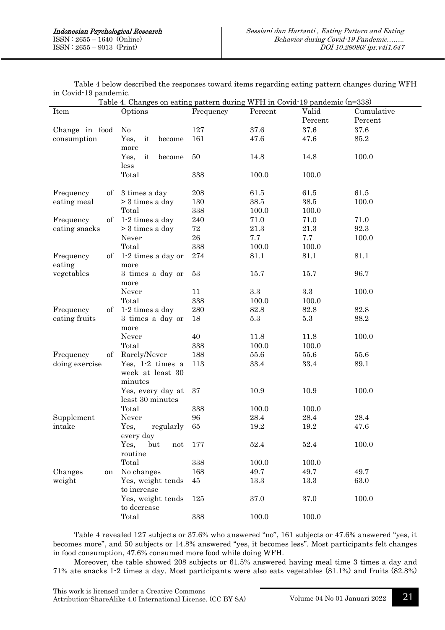| Table 4. Changes on eating pattern during wr H in Covid 19 pandemic (n-338)<br>Valid<br>Item<br>Options<br>Percent<br>Cumulative |                                  |           |          |          |         |
|----------------------------------------------------------------------------------------------------------------------------------|----------------------------------|-----------|----------|----------|---------|
|                                                                                                                                  |                                  | Frequency |          |          |         |
|                                                                                                                                  |                                  |           |          | Percent  | Percent |
| Change in food                                                                                                                   | N <sub>o</sub>                   | 127       | 37.6     | 37.6     | 37.6    |
| consumption                                                                                                                      | Yes,<br>it<br>become<br>more     | 161       | 47.6     | 47.6     | 85.2    |
|                                                                                                                                  | Yes,<br>it<br>become             | 50        | 14.8     | 14.8     | 100.0   |
|                                                                                                                                  | less                             |           |          |          |         |
|                                                                                                                                  | Total                            | 338       | 100.0    | 100.0    |         |
|                                                                                                                                  |                                  |           |          |          |         |
| Frequency<br>οf                                                                                                                  | 3 times a day                    | 208       | 61.5     | 61.5     | 61.5    |
| eating meal                                                                                                                      | $>$ 3 times a day                | 130       | 38.5     | 38.5     | 100.0   |
|                                                                                                                                  | Total                            | 338       | 100.0    | 100.0    |         |
| of<br>Frequency                                                                                                                  | 1-2 times a day                  | 240       | 71.0     | 71.0     | 71.0    |
| eating snacks                                                                                                                    | $> 3$ times a day                | 72        | $21.3\,$ | $21.3\,$ | 92.3    |
|                                                                                                                                  | Never                            | 26        | 7.7      | 7.7      | 100.0   |
|                                                                                                                                  | Total                            | 338       | 100.0    | 100.0    |         |
| Frequency<br>of                                                                                                                  | 1-2 times a day or               | 274       | 81.1     | 81.1     | 81.1    |
| eating                                                                                                                           | more                             |           |          |          |         |
| vegetables                                                                                                                       | 3 times a day or                 | 53        | 15.7     | 15.7     | 96.7    |
|                                                                                                                                  | more                             |           |          |          |         |
|                                                                                                                                  | Never                            | 11        | $\!.3$   | $\!.3$   | 100.0   |
|                                                                                                                                  | Total                            | 338       | 100.0    | 100.0    |         |
| Frequency<br>of                                                                                                                  | 1-2 times a day                  | 280       | 82.8     | 82.8     | 82.8    |
| eating fruits                                                                                                                    | 3 times a day or                 | 18        | $5.3\,$  | $5.3\,$  | 88.2    |
|                                                                                                                                  | more                             |           |          |          |         |
|                                                                                                                                  | Never                            | 40        | 11.8     | 11.8     | 100.0   |
|                                                                                                                                  | Total                            | 338       | 100.0    | 100.0    |         |
| Frequency<br>of                                                                                                                  | Rarely/Never                     | 188       | 55.6     | 55.6     | 55.6    |
| doing exercise                                                                                                                   | Yes, 1-2 times a                 | 113       | 33.4     | 33.4     | 89.1    |
|                                                                                                                                  | week at least 30                 |           |          |          |         |
|                                                                                                                                  | minutes                          |           |          |          |         |
|                                                                                                                                  | Yes, every day at                | 37        | 10.9     | 10.9     | 100.0   |
|                                                                                                                                  | least 30 minutes                 |           |          |          |         |
|                                                                                                                                  | Total                            | 338       | 100.0    | 100.0    |         |
| Supplement                                                                                                                       | Never                            | 96        | 28.4     | 28.4     | 28.4    |
| intake                                                                                                                           | regularly<br>Yes,                | 65        | 19.2     | 19.2     | 47.6    |
|                                                                                                                                  | every day                        |           |          |          |         |
|                                                                                                                                  | Yes,<br>but<br>not               | 177       | 52.4     | 52.4     | 100.0   |
|                                                                                                                                  | routine                          |           |          |          |         |
|                                                                                                                                  | Total                            | 338       | 100.0    | 100.0    |         |
| Changes                                                                                                                          | No changes                       | 168       | 49.7     | 49.7     | 49.7    |
| on                                                                                                                               |                                  |           |          |          |         |
| weight                                                                                                                           | Yes, weight tends<br>to increase | 45        | 13.3     | 13.3     | 63.0    |
|                                                                                                                                  | Yes, weight tends                | 125       | 37.0     | 37.0     | 100.0   |
|                                                                                                                                  | to decrease                      |           |          |          |         |
|                                                                                                                                  | Total                            |           | 100.0    | 100.0    |         |
|                                                                                                                                  |                                  | 338       |          |          |         |

Table 4 below described the responses toward items regarding eating pattern changes during WFH in Covid-19 pandemic.  $\text{softmax}$  pattern during WFH in  $\text{Cov}_3$ -10 pandemic (n=338)

Table 4 revealed 127 subjects or 37.6% who answered "no", 161 subjects or 47.6% answered "yes, it becomes more", and 50 subjects or 14.8% answered "yes, it becomes less". Most participants felt changes in food consumption, 47.6% consumed more food while doing WFH.

Moreover, the table showed 208 subjects or 61.5% answered having meal time 3 times a day and 71% ate snacks 1-2 times a day. Most participants were also eats vegetables (81.1%) and fruits (82.8%)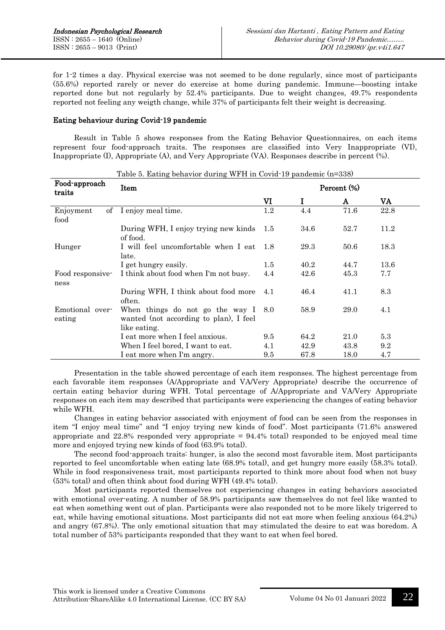for 1-2 times a day. Physical exercise was not seemed to be done regularly, since most of participants (55.6%) reported rarely or never do exercise at home during pandemic. Immune—boosting intake reported done but not regularly by 52.4% participants. Due to weight changes, 49.7% respondents reported not feeling any weigth change, while 37% of participants felt their weight is decreasing.

### Eating behaviour during Covid-19 pandemic

Result in Table 5 shows responses from the Eating Behavior Questionnaires, on each items represent four food-approach traits. The responses are classified into Very Inappropriate (VI), Inappropriate (I), Appropriate (A), and Very Appropriate (VA). Responses describe in percent (%).

| Table 5. Eating behavior during WFH in Covid-19 pandemic (n=338) |                                                                                                   |             |      |      |      |  |
|------------------------------------------------------------------|---------------------------------------------------------------------------------------------------|-------------|------|------|------|--|
| Food-approach<br>traits                                          | Item                                                                                              | Percent (%) |      |      |      |  |
|                                                                  |                                                                                                   | VI          |      | A    | VA   |  |
| $\sigma$<br>Enjoyment<br>food                                    | I enjoy meal time.                                                                                | 1.2         | 4.4  | 71.6 | 22.8 |  |
|                                                                  | During WFH, I enjoy trying new kinds<br>of food.                                                  | 1.5         | 34.6 | 52.7 | 11.2 |  |
| Hunger                                                           | I will feel uncomfortable when I eat<br>late.                                                     |             | 29.3 | 50.6 | 18.3 |  |
|                                                                  | I get hungry easily.                                                                              | 1.5         | 40.2 | 44.7 | 13.6 |  |
| Food responsive-<br>ness                                         | I think about food when I'm not busy.                                                             | 4.4         | 42.6 | 45.3 | 7.7  |  |
|                                                                  | During WFH, I think about food more<br>often.                                                     | 4.1         | 46.4 | 41.1 | 8.3  |  |
| Emotional over-<br>eating                                        | When things do not go the way $I_{8.0}$<br>wanted (not according to plan), I feel<br>like eating. |             | 58.9 | 29.0 | 4.1  |  |
|                                                                  | I eat more when I feel anxious.                                                                   | 9.5         | 64.2 | 21.0 | 5.3  |  |
|                                                                  | When I feel bored, I want to eat.                                                                 | 4.1         | 42.9 | 43.8 | 9.2  |  |
|                                                                  | I eat more when I'm angry.                                                                        | 9.5         | 67.8 | 18.0 | 4.7  |  |

Presentation in the table showed percentage of each item responses. The highest percentage from each favorable item responses (A/Appropriate and VA/Very Appropriate) describe the occurrence of certain eating behavior during WFH. Total percentage of A/Appropriate and VA/Very Appropriate responses on each item may described that participants were experiencing the changes of eating behavior while WFH.

Changes in eating behavior associated with enjoyment of food can be seen from the responses in item "I enjoy meal time" and "I enjoy trying new kinds of food". Most participants (71.6% answered appropriate and  $22.8\%$  responded very appropriate =  $94.4\%$  total) responded to be enjoyed meal time more and enjoyed trying new kinds of food (63.9% total).

The second food-approach traits: hunger, is also the second most favorable item. Most participants reported to feel uncomfortable when eating late (68.9% total), and get hungry more easily (58.3% total). While in food responsiveness trait, most participants reported to think more about food when not busy (53% total) and often think about food during WFH (49.4% total).

Most participants reported themselves not experiencing changes in eating behaviors associated with emotional over-eating. A number of 58.9% participants saw themselves do not feel like wanted to eat when something went out of plan. Participants were also responded not to be more likely trigerred to eat, while having emotional situations. Most participants did not eat more when feeling anxious (64.2%) and angry (67.8%). The only emotional situation that may stimulated the desire to eat was boredom. A total number of 53% participants responded that they want to eat when feel bored.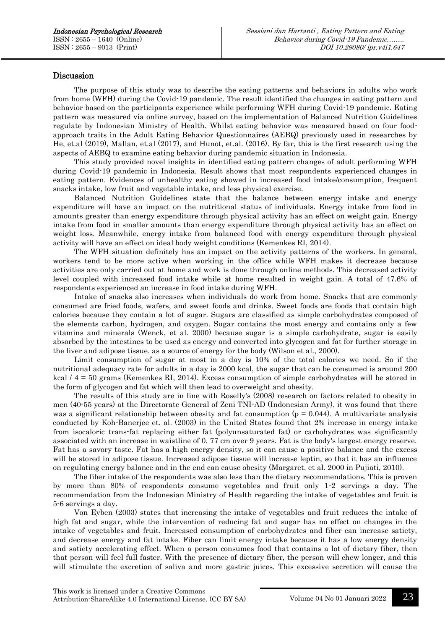## Discussion

The purpose of this study was to describe the eating patterns and behaviors in adults who work from home (WFH) during the Covid-19 pandemic. The result identified the changes in eating pattern and behavior based on the participants experience while performing WFH during Covid-19 pandemic. Eating pattern was measured via online survey, based on the implementation of Balanced Nutrition Guidelines regulate by Indonesian Ministry of Health. Whilst eating behavior was measured based on four foodapproach traits in the Adult Eating Behavior Questionnaires (AEBQ) previously used in researches by He, et.al (2019), Mallan, et.al (2017), and Hunot, et.al. (2016). By far, this is the first research using the aspects of AEBQ to examine eating behavior during pandemic situation in Indonesia.

This study provided novel insights in identified eating pattern changes of adult performing WFH during Covid-19 pandemic in Indonesia. Result shows that most respondents experienced changes in eating pattern. Evidences of unhealthy eating showed in increased food intake/consumption, frequent snacks intake, low fruit and vegetable intake, and less physical exercise.

Balanced Nutrition Guidelines state that the balance between energy intake and energy expenditure will have an impact on the nutritional status of individuals. Energy intake from food in amounts greater than energy expenditure through physical activity has an effect on weight gain. Energy intake from food in smaller amounts than energy expenditure through physical activity has an effect on weight loss. Meanwhile, energy intake from balanced food with energy expenditure through physical activity will have an effect on ideal body weight conditions (Kemenkes RI, 2014).

The WFH situation definitely has an impact on the activity patterns of the workers. In general, workers tend to be more active when working in the office while WFH makes it decrease because activities are only carried out at home and work is done through online methods. This decreased activity level coupled with increased food intake while at home resulted in weight gain. A total of 47.6% of respondents experienced an increase in food intake during WFH.

Intake of snacks also increases when individuals do work from home. Snacks that are commonly consumed are fried foods, wafers, and sweet foods and drinks. Sweet foods are foods that contain high calories because they contain a lot of sugar. Sugars are classified as simple carbohydrates composed of the elements carbon, hydrogen, and oxygen. Sugar contains the most energy and contains only a few vitamins and minerals (Wenck, et al. 2000) because sugar is a simple carbohydrate, sugar is easily absorbed by the intestines to be used as energy and converted into glycogen and fat for further storage in the liver and adipose tissue. as a source of energy for the body (Wilson et al., 2000).

Limit consumption of sugar at most in a day is 10% of the total calories we need. So if the nutritional adequacy rate for adults in a day is 2000 kcal, the sugar that can be consumed is around 200 kcal / 4 = 50 grams (Kemenkes RI, 2014). Excess consumption of simple carbohydrates will be stored in the form of glycogen and fat which will then lead to overweight and obesity.

The results of this study are in line with Roselly's (2008) research on factors related to obesity in men (40-55 years) at the Directorate General of Zeni TNI-AD (Indonesian Army), it was found that there was a significant relationship between obesity and fat consumption ( $p = 0.044$ ). A multivariate analysis conducted by Koh-Banerjee et. al. (2003) in the United States found that 2% increase in energy intake from isocaloric trans-fat replacing either fat (polyunsaturated fat) or carbohydrates was significantly associated with an increase in waistline of 0. 77 cm over 9 years. Fat is the body's largest energy reserve. Fat has a savory taste. Fat has a high energy density, so it can cause a positive balance and the excess will be stored in adipose tissue. Increased adipose tissue will increase leptin, so that it has an influence on regulating energy balance and in the end can cause obesity (Margaret, et al. 2000 in Pujiati, 2010).

The fiber intake of the respondents was also less than the dietary recommendations. This is proven by more than 80% of respondents consume vegetables and fruit only 1-2 servings a day. The recommendation from the Indonesian Ministry of Health regarding the intake of vegetables and fruit is 5-6 servings a day.

Von Eyben (2003) states that increasing the intake of vegetables and fruit reduces the intake of high fat and sugar, while the intervention of reducing fat and sugar has no effect on changes in the intake of vegetables and fruit. Increased consumption of carbohydrates and fiber can increase satiety, and decrease energy and fat intake. Fiber can limit energy intake because it has a low energy density and satiety accelerating effect. When a person consumes food that contains a lot of dietary fiber, then that person will feel full faster. With the presence of dietary fiber, the person will chew longer, and this will stimulate the excretion of saliva and more gastric juices. This excessive secretion will cause the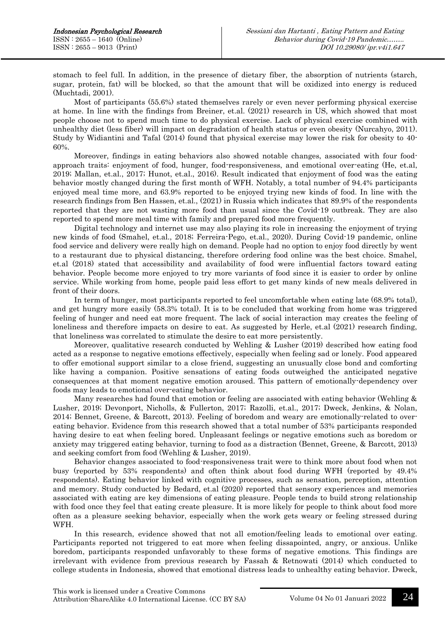stomach to feel full. In addition, in the presence of dietary fiber, the absorption of nutrients (starch, sugar, protein, fat) will be blocked, so that the amount that will be oxidized into energy is reduced (Muchtadi, 2001).

Most of participants (55.6%) stated themselves rarely or even never performing physical exercise at home. In line with the findings from Breiner, et.al. (2021) research in US, which showed that most people choose not to spend much time to do physical exercise. Lack of physical exercise combined with unhealthy diet (less fiber) will impact on degradation of health status or even obesity (Nurcahyo, 2011). Study by Widiantini and Tafal (2014) found that physical exercise may lower the risk for obesity to 40- 60%.

Moreover, findings in eating behaviors also showed notable changes, associated with four foodapproach traits: enjoyment of food, hunger, food-responsiveness, and emotional over-eating (He, et.al, 2019; Mallan, et.al., 2017; Hunot, et.al., 2016). Result indicated that enjoyment of food was the eating behavior mostly changed during the first month of WFH. Notably, a total number of 94.4% participants enjoyed meal time more, and 63.9% reported to be enjoyed trying new kinds of food. In line with the research findings from Ben Hassen, et.al., (2021) in Russia which indicates that 89.9% of the respondents reported that they are not wasting more food than usual since the Covid-19 outbreak. They are also reported to spend more meal time with family and prepared food more frequently.

Digital technology and internet use may also playing its role in increasing the enjoyment of trying new kinds of food (Smahel, et.al., 2018; Ferreira-Pego, et.al., 2020). During Covid-19 pandemic, online food service and delivery were really high on demand. People had no option to enjoy food directly by went to a restaurant due to physical distancing, therefore ordering food online was the best choice. Smahel, et.al (2018) stated that accessibility and availability of food were influential factors toward eating behavior. People become more enjoyed to try more variants of food since it is easier to order by online service. While working from home, people paid less effort to get many kinds of new meals delivered in front of their doors.

In term of hunger, most participants reported to feel uncomfortable when eating late (68.9% total), and get hungry more easily (58.3% total). It is to be concluded that working from home was triggered feeling of hunger and need eat more frequent. The lack of social interaction may creates the feeling of loneliness and therefore impacts on desire to eat. As suggested by Herle, et.al (2021) research finding, that loneliness was correlated to stimulate the desire to eat more persistently.

Moreover, qualitative research conducted by Wehling & Lusher (2019) described how eating food acted as a response to negative emotions effectively, especially when feeling sad or lonely. Food appeared to offer emotional support similar to a close friend, suggesting an unusually close bond and comforting like having a companion. Positive sensations of eating foods outweighed the anticipated negative consequences at that moment negative emotion aroused. This pattern of emotionally-dependency over foods may leads to emotional over-eating behavior.

Many researches had found that emotion or feeling are associated with eating behavior (Wehling  $\&$ Lusher, 2019; Devonport, Nicholls, & Fullerton, 2017; Razolli, et.al., 2017; Dweck, Jenkins, & Nolan, 2014; Bennet, Greene, & Barcott, 2013). Feeling of boredom and weary are emotionally-related to overeating behavior. Evidence from this research showed that a total number of 53% participants responded having desire to eat when feeling bored. Unpleasant feelings or negative emotions such as boredom or anxiety may triggered eating behavior, turning to food as a distraction (Bennet, Greene, & Barcott, 2013) and seeking comfort from food (Wehling & Lusher, 2019).

Behavior changes associated to food-responsiveness trait were to think more about food when not busy (reported by 53% respondents) and often think about food during WFH (reported by 49.4% respondents). Eating behavior linked with cognitive processes, such as sensation, perception, attention and memory. Study conducted by Bedard, et.al (2020) reported that sensory experiences and memories associated with eating are key dimensions of eating pleasure. People tends to build strong relationship with food once they feel that eating create pleasure. It is more likely for people to think about food more often as a pleasure seeking behavior, especially when the work gets weary or feeling stressed during WFH.

In this research, evidence showed that not all emotion/feeling leads to emotional over eating. Participants reported not triggered to eat more when feeling dissapointed, angry, or anxious. Unlike boredom, participants responded unfavorably to these forms of negative emotions. This findings are irrelevant with evidence from previous research by Fassah & Retnowati (2014) which conducted to college students in Indonesia, showed that emotional distress leads to unhealthy eating behavior. Dweck,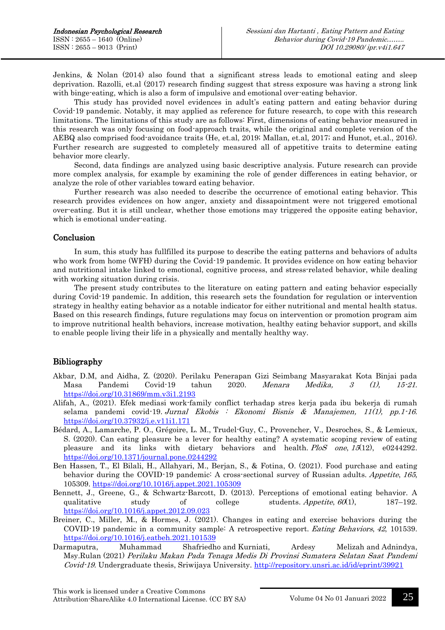Jenkins, & Nolan (2014) also found that a significant stress leads to emotional eating and sleep deprivation. Razolli, et.al (2017) research finding suggest that stress exposure was having a strong link with binge-eating, which is also a form of impulsive and emotional over-eating behavior.

This study has provided novel evidences in adult's eating pattern and eating behavior during Covid-19 pandemic. Notably, it may applied as reference for future research, to cope with this research limitations. The limitations of this study are as follows: First, dimensions of eating behavior measured in this research was only focusing on food-approach traits, while the original and complete version of the AEBQ also comprised food-avoidance traits (He, et.al, 2019; Mallan, et.al, 2017; and Hunot, et.al., 2016). Further research are suggested to completely measured all of appetitive traits to determine eating behavior more clearly.

Second, data findings are analyzed using basic descriptive analysis. Future research can provide more complex analysis, for example by examining the role of gender differences in eating behavior, or analyze the role of other variables toward eating behavior.

Further research was also needed to describe the occurrence of emotional eating behavior. This research provides evidences on how anger, anxiety and dissapointment were not triggered emotional over-eating. But it is still unclear, whether those emotions may triggered the opposite eating behavior, which is emotional under-eating.

### Conclusion

In sum, this study has fullfilled its purpose to describe the eating patterns and behaviors of adults who work from home (WFH) during the Covid-19 pandemic. It provides evidence on how eating behavior and nutritional intake linked to emotional, cognitive process, and stress-related behavior, while dealing with working situation during crisis.

The present study contributes to the literature on eating pattern and eating behavior especially during Covid-19 pandemic. In addition, this research sets the foundation for regulation or intervention strategy in healthy eating behavior as a notable indicator for either nutritional and mental health status. Based on this research findings, future regulations may focus on intervention or promotion program aim to improve nutritional health behaviors, increase motivation, healthy eating behavior support, and skills to enable people living their life in a physically and mentally healthy way.

# Bibliography

- Akbar, D.M, and Aidha, Z. (2020). Perilaku Penerapan Gizi Seimbang Masyarakat Kota Binjai pada Masa Pandemi Covid-19 tahun 2020. Menara Medika, 3 (1), 15-21. <https://doi.org/10.31869/mm.v3i1.2193>
- Alifah, A., (2021). Efek mediasi work-family conflict terhadap stres kerja pada ibu bekerja di rumah selama pandemi covid-19. Jurnal Ekobis : Ekonomi Bisnis & Manajemen, 11(1), pp.1-16. <https://doi.org/10.37932/j.e.v11i1.171>
- Bédard, A., Lamarche, P. O., Grégoire, L. M., Trudel-Guy, C., Provencher, V., Desroches, S., & Lemieux, S. (2020). Can eating pleasure be a lever for healthy eating? A systematic scoping review of eating pleasure and its links with dietary behaviors and health. PloS one, 15(12), e0244292. <https://doi.org/10.1371/journal.pone.0244292>
- Ben Hassen, T., El Bilali, H., Allahyari, M., Berjan, S., & Fotina, O. (2021). Food purchase and eating behavior during the COVID-19 pandemic: A cross-sectional survey of Russian adults. Appetite, 165, 105309.<https://doi.org/10.1016/j.appet.2021.105309>
- Bennett, J., Greene, G., & Schwartz-Barcott, D. (2013). Perceptions of emotional eating behavior. A qualitative study of college students. Appetite,  $\theta \theta(1)$ , 187–192. <https://doi.org/10.1016/j.appet.2012.09.023>
- Breiner, C., Miller, M., & Hormes, J. (2021). Changes in eating and exercise behaviors during the COVID-19 pandemic in a community sample: A retrospective report. Eating Behaviors, <sup>42</sup>, 101539. <https://doi.org/10.1016/j.eatbeh.2021.101539>
- Darmaputra, Muhammad Shafriedho and Kurniati, Ardesy Melizah and Adnindya, Msy.Rulan (2021) Perilaku Makan Pada Tenaga Medis Di Provinsi Sumatera Selatan Saat Pandemi Covid-19. Undergraduate thesis, Sriwijaya University.<http://repository.unsri.ac.id/id/eprint/39921>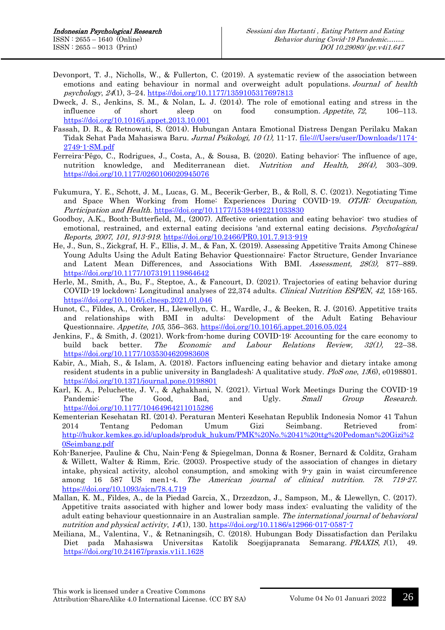- Devonport, T. J., Nicholls, W., & Fullerton, C. (2019). A systematic review of the association between emotions and eating behaviour in normal and overweight adult populations. Journal of health psychology, 24(1), 3-24.<https://doi.org/10.1177/1359105317697813>
- Dweck, J. S., Jenkins, S. M., & Nolan, L. J. (2014). The role of emotional eating and stress in the influence of short sleep on food consumption. Appetite, 72, 106–113. <https://doi.org/10.1016/j.appet.2013.10.001>
- Fassah, D. R., & Retnowati, S. (2014). Hubungan Antara Emotional Distress Dengan Perilaku Makan Tidak Sehat Pada Mahasiswa Baru. Jurnal Psikologi, 10 (1), 11-17. [file:///Users/user/Downloads/1174-](../../../../../../Downloads/1174-2749-1-SM.pdf) [2749-1-SM.pdf](../../../../../../Downloads/1174-2749-1-SM.pdf)
- Ferreira-Pêgo, C., Rodrigues, J., Costa, A., & Sousa, B. (2020). Eating behavior: The influence of age, nutrition knowledge, and Mediterranean diet. Nutrition and Health, 26(4), 303–309. <https://doi.org/10.1177/0260106020945076>
- Fukumura, Y. E., Schott, J. M., Lucas, G. M., Becerik-Gerber, B., & Roll, S. C. (2021). Negotiating Time and Space When Working from Home: Experiences During COVID-19. OTJR: Occupation, Participation and Health. <https://doi.org/10.1177/15394492211033830>
- Goodboy, A.K., Booth-Butterfield, M., (2007). Affective orientation and eating behavior: two studies of emotional, restrained, and external eating decisions 'and external eating decisions. Psychological Reports, 2007, 101, 913-919. <https://doi.org/10.2466/PR0.101.7.913-919>
- He, J., Sun, S., Zickgraf, H. F., Ellis, J. M., & Fan, X. (2019). Assessing Appetitive Traits Among Chinese Young Adults Using the Adult Eating Behavior Questionnaire: Factor Structure, Gender Invariance and Latent Mean Differences, and Associations With BMI. Assessment, 28(3), 877–889. <https://doi.org/10.1177/1073191119864642>
- Herle, M., Smith, A., Bu, F., Steptoe, A., & Fancourt, D. (2021). Trajectories of eating behavior during COVID-19 lockdown: Longitudinal analyses of 22,374 adults. Clinical Nutrition ESPEN, <sup>42</sup>, 158-165. <https://doi.org/10.1016/j.clnesp.2021.01.046>
- Hunot, C., Fildes, A., Croker, H., Llewellyn, C. H., Wardle, J., & Beeken, R. J. (2016). Appetitive traits and relationships with BMI in adults: Development of the Adult Eating Behaviour Questionnaire. Appetite, <sup>105</sup>, 356–363.<https://doi.org/10.1016/j.appet.2016.05.024>
- Jenkins, F., & Smith, J. (2021). Work-from-home during COVID-19: Accounting for the care economy to build back better. The Economic and Labour Relations Review, 32(1), 22–38. <https://doi.org/10.1177/1035304620983608>
- Kabir, A., Miah, S., & Islam, A. (2018). Factors influencing eating behavior and dietary intake among resident students in a public university in Bangladesh: A qualitative study. PloS one, 13(6), e0198801. <https://doi.org/10.1371/journal.pone.0198801>
- Karl, K. A., Peluchette, J. V., & Aghakhani, N. (2021). Virtual Work Meetings During the COVID-19 Pandemic<sup>:</sup> The Good, Bad, and Ugly. *Small Group Research.* <https://doi.org/10.1177/10464964211015286>
- Kementerian Kesehatan RI. (2014). Peraturan Menteri Kesehatan Republik Indonesia Nomor 41 Tahun 2014 Tentang Pedoman Umum Gizi Seimbang. Retrieved from: [http://hukor.kemkes.go.id/uploads/produk\\_hukum/PMK%20No.%2041%20ttg%20Pedoman%20Gizi%2](http://hukor.kemkes.go.id/uploads/produk_hukum/PMK%20No.%2041%20ttg%20Pedoman%20Gizi%20Seimbang.pdf) [0Seimbang.pdf](http://hukor.kemkes.go.id/uploads/produk_hukum/PMK%20No.%2041%20ttg%20Pedoman%20Gizi%20Seimbang.pdf)
- Koh-Banerjee, Pauline & Chu, Nain-Feng & Spiegelman, Donna & Rosner, Bernard & Colditz, Graham & Willett, Walter & Rimm, Eric. (2003). Prospective study of the association of changes in dietary intake, physical activity, alcohol consumption, and smoking with 9-y gain in waist circumference among 16 587 US men1-4. The American journal of clinical nutrition. 78. 719-27. <https://doi.org/10.1093/ajcn/78.4.719>
- Mallan, K. M., Fildes, A., de la Piedad Garcia, X., Drzezdzon, J., Sampson, M., & Llewellyn, C. (2017). Appetitive traits associated with higher and lower body mass index: evaluating the validity of the adult eating behaviour questionnaire in an Australian sample. The international journal of behavioral nutrition and physical activity, 14(1), 130.<https://doi.org/10.1186/s12966-017-0587-7>
- Meiliana, M., Valentina, V., & Retnaningsih, C. (2018). Hubungan Body Dissatisfaction dan Perilaku Diet pada Mahasiswa Universitas Katolik Soegijapranata Semarang. PRAXIS, <sup>1</sup>(1), 49. <https://doi.org/10.24167/praxis.v1i1.1628>